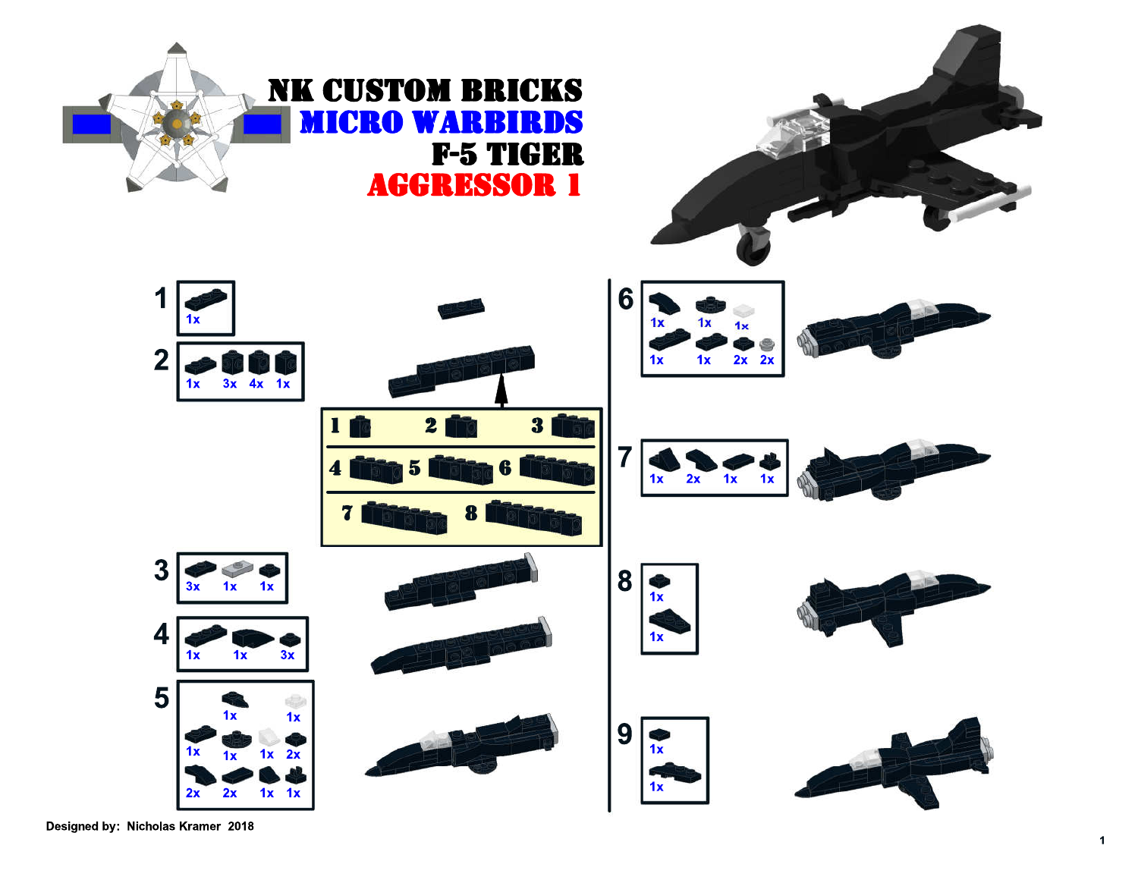

Designed by: Nicholas Kramer 2018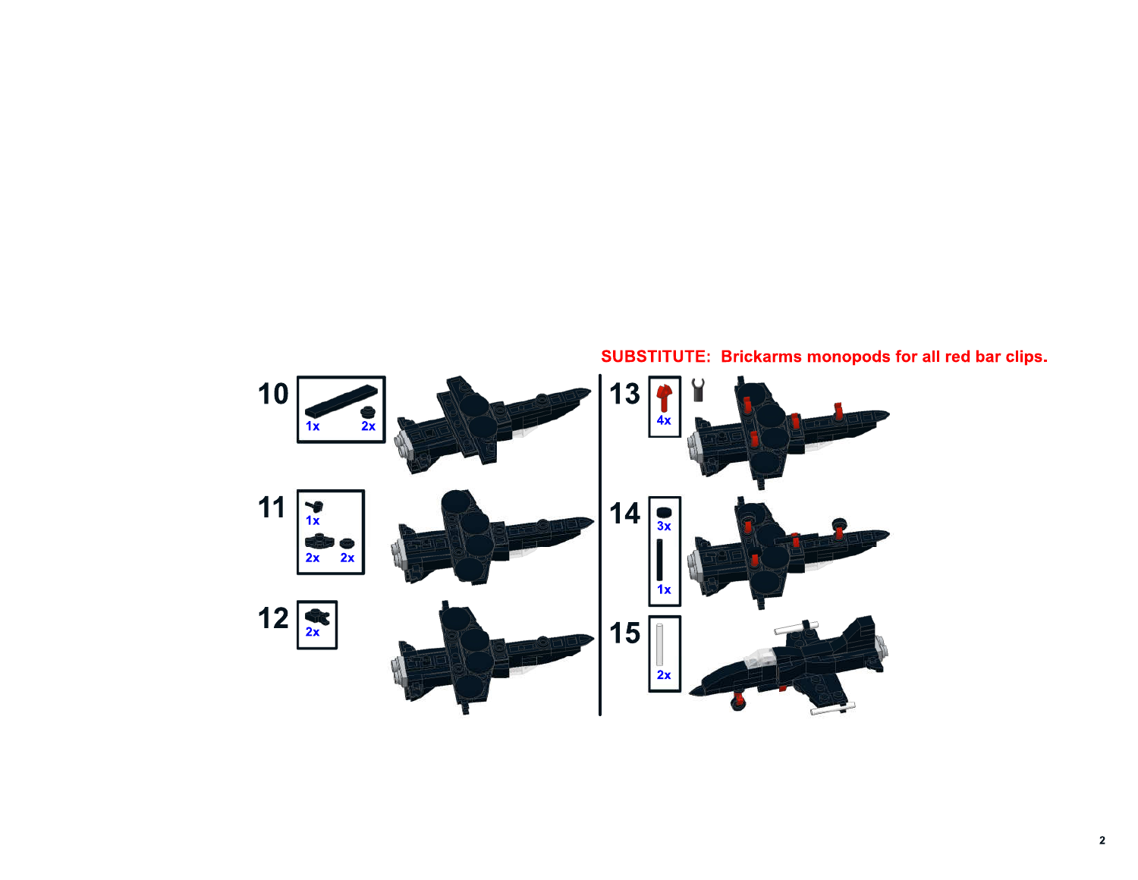

## **SUBSTITUTE: Brickarms monopods for all red bar clips.**